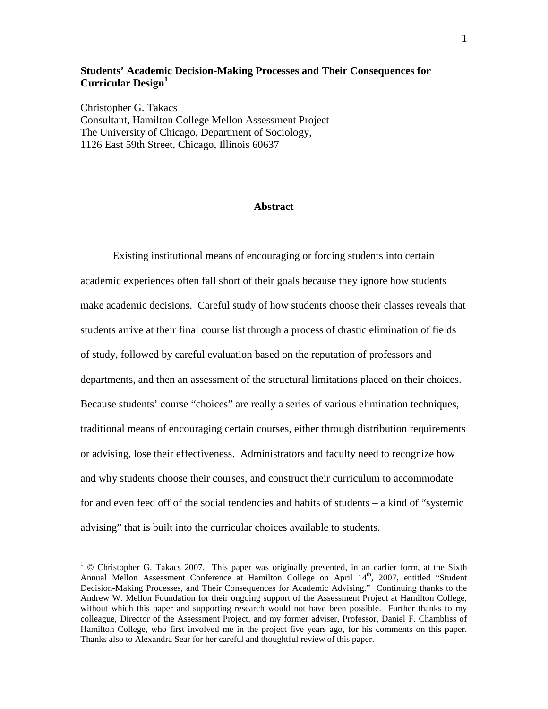# **Students' Academic Decision-Making Processes and Their Consequences for Curricular Design<sup>1</sup>**

Christopher G. Takacs Consultant, Hamilton College Mellon Assessment Project The University of Chicago, Department of Sociology, 1126 East 59th Street, Chicago, Illinois 60637

#### **Abstract**

 Existing institutional means of encouraging or forcing students into certain academic experiences often fall short of their goals because they ignore how students make academic decisions. Careful study of how students choose their classes reveals that students arrive at their final course list through a process of drastic elimination of fields of study, followed by careful evaluation based on the reputation of professors and departments, and then an assessment of the structural limitations placed on their choices. Because students' course "choices" are really a series of various elimination techniques, traditional means of encouraging certain courses, either through distribution requirements or advising, lose their effectiveness. Administrators and faculty need to recognize how and why students choose their courses, and construct their curriculum to accommodate for and even feed off of the social tendencies and habits of students – a kind of "systemic advising" that is built into the curricular choices available to students.

<sup>&</sup>lt;sup>1</sup> © Christopher G. Takacs 2007. This paper was originally presented, in an earlier form, at the Sixth Annual Mellon Assessment Conference at Hamilton College on April 14<sup>th</sup>, 2007, entitled "Student Decision-Making Processes, and Their Consequences for Academic Advising." Continuing thanks to the Andrew W. Mellon Foundation for their ongoing support of the Assessment Project at Hamilton College, without which this paper and supporting research would not have been possible. Further thanks to my colleague, Director of the Assessment Project, and my former adviser, Professor, Daniel F. Chambliss of Hamilton College, who first involved me in the project five years ago, for his comments on this paper. Thanks also to Alexandra Sear for her careful and thoughtful review of this paper.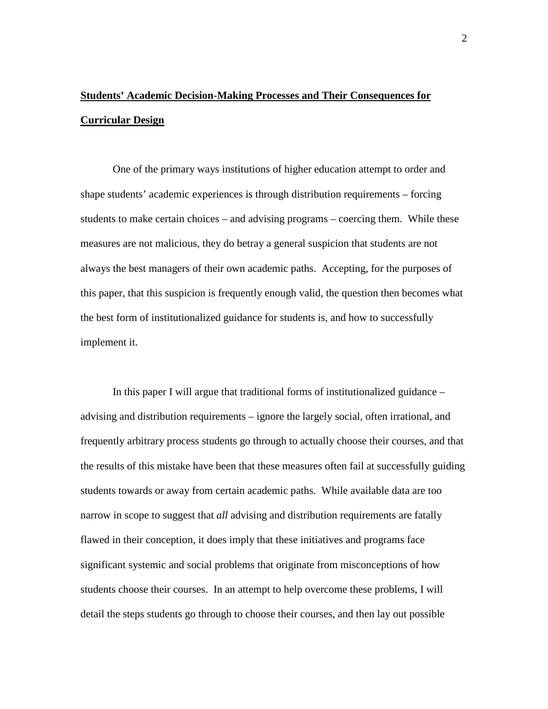# **Students' Academic Decision-Making Processes and Their Consequences for Curricular Design**

One of the primary ways institutions of higher education attempt to order and shape students' academic experiences is through distribution requirements – forcing students to make certain choices – and advising programs – coercing them. While these measures are not malicious, they do betray a general suspicion that students are not always the best managers of their own academic paths. Accepting, for the purposes of this paper, that this suspicion is frequently enough valid, the question then becomes what the best form of institutionalized guidance for students is, and how to successfully implement it.

In this paper I will argue that traditional forms of institutionalized guidance – advising and distribution requirements – ignore the largely social, often irrational, and frequently arbitrary process students go through to actually choose their courses, and that the results of this mistake have been that these measures often fail at successfully guiding students towards or away from certain academic paths. While available data are too narrow in scope to suggest that *all* advising and distribution requirements are fatally flawed in their conception, it does imply that these initiatives and programs face significant systemic and social problems that originate from misconceptions of how students choose their courses. In an attempt to help overcome these problems, I will detail the steps students go through to choose their courses, and then lay out possible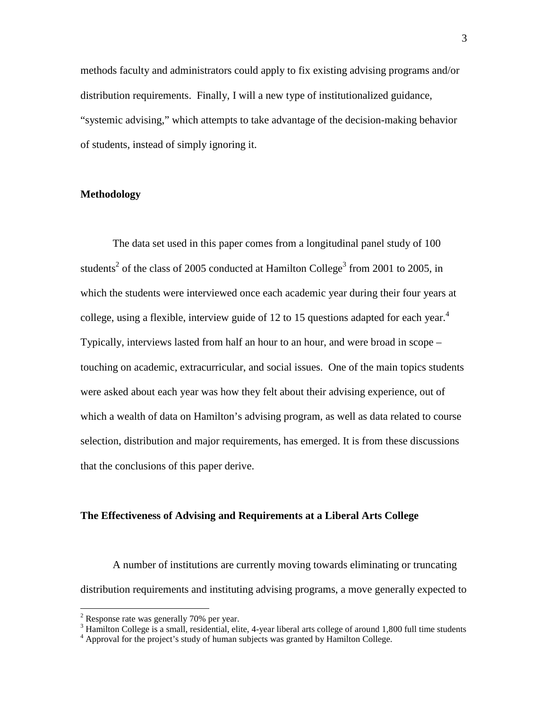methods faculty and administrators could apply to fix existing advising programs and/or distribution requirements. Finally, I will a new type of institutionalized guidance, "systemic advising," which attempts to take advantage of the decision-making behavior of students, instead of simply ignoring it.

## **Methodology**

 The data set used in this paper comes from a longitudinal panel study of 100 students<sup>2</sup> of the class of 2005 conducted at Hamilton College<sup>3</sup> from 2001 to 2005, in which the students were interviewed once each academic year during their four years at college, using a flexible, interview guide of 12 to 15 questions adapted for each year.<sup>4</sup> Typically, interviews lasted from half an hour to an hour, and were broad in scope – touching on academic, extracurricular, and social issues. One of the main topics students were asked about each year was how they felt about their advising experience, out of which a wealth of data on Hamilton's advising program, as well as data related to course selection, distribution and major requirements, has emerged. It is from these discussions that the conclusions of this paper derive.

#### **The Effectiveness of Advising and Requirements at a Liberal Arts College**

 A number of institutions are currently moving towards eliminating or truncating distribution requirements and instituting advising programs, a move generally expected to

 $3$  Hamilton College is a small, residential, elite, 4-year liberal arts college of around 1,800 full time students

<sup>&</sup>lt;sup>2</sup> Response rate was generally 70% per year.

<sup>&</sup>lt;sup>4</sup> Approval for the project's study of human subjects was granted by Hamilton College.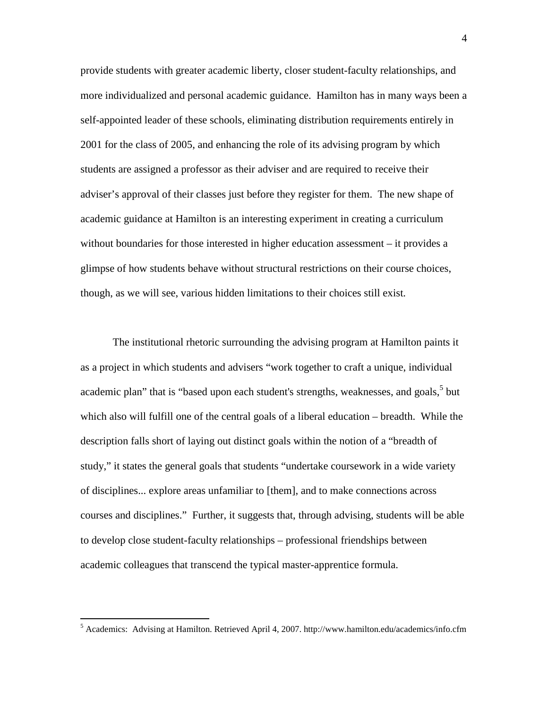provide students with greater academic liberty, closer student-faculty relationships, and more individualized and personal academic guidance. Hamilton has in many ways been a self-appointed leader of these schools, eliminating distribution requirements entirely in 2001 for the class of 2005, and enhancing the role of its advising program by which students are assigned a professor as their adviser and are required to receive their adviser's approval of their classes just before they register for them. The new shape of academic guidance at Hamilton is an interesting experiment in creating a curriculum without boundaries for those interested in higher education assessment – it provides a glimpse of how students behave without structural restrictions on their course choices, though, as we will see, various hidden limitations to their choices still exist.

 The institutional rhetoric surrounding the advising program at Hamilton paints it as a project in which students and advisers "work together to craft a unique, individual academic plan" that is "based upon each student's strengths, weaknesses, and goals,<sup>5</sup> but which also will fulfill one of the central goals of a liberal education – breadth. While the description falls short of laying out distinct goals within the notion of a "breadth of study," it states the general goals that students "undertake coursework in a wide variety of disciplines... explore areas unfamiliar to [them], and to make connections across courses and disciplines." Further, it suggests that, through advising, students will be able to develop close student-faculty relationships – professional friendships between academic colleagues that transcend the typical master-apprentice formula.

 5 Academics: Advising at Hamilton. Retrieved April 4, 2007. http://www.hamilton.edu/academics/info.cfm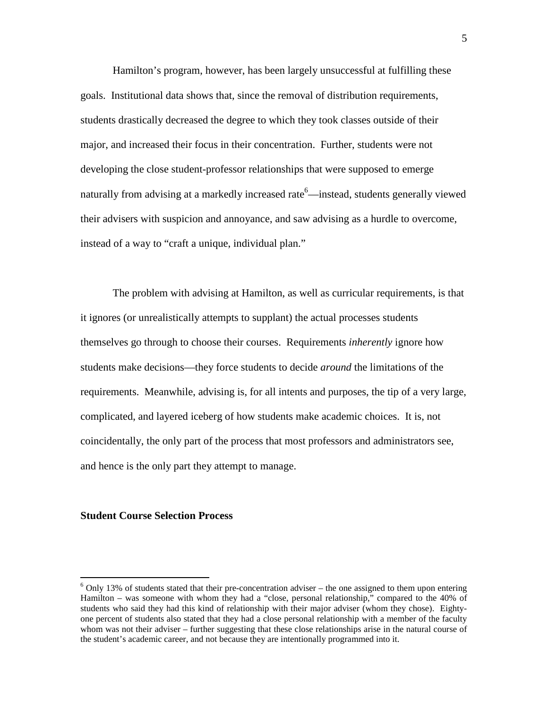Hamilton's program, however, has been largely unsuccessful at fulfilling these goals. Institutional data shows that, since the removal of distribution requirements, students drastically decreased the degree to which they took classes outside of their major, and increased their focus in their concentration. Further, students were not developing the close student-professor relationships that were supposed to emerge naturally from advising at a markedly increased rate  $\epsilon$ —instead, students generally viewed their advisers with suspicion and annoyance, and saw advising as a hurdle to overcome, instead of a way to "craft a unique, individual plan."

The problem with advising at Hamilton, as well as curricular requirements, is that it ignores (or unrealistically attempts to supplant) the actual processes students themselves go through to choose their courses. Requirements *inherently* ignore how students make decisions—they force students to decide *around* the limitations of the requirements. Meanwhile, advising is, for all intents and purposes, the tip of a very large, complicated, and layered iceberg of how students make academic choices. It is, not coincidentally, the only part of the process that most professors and administrators see, and hence is the only part they attempt to manage.

#### **Student Course Selection Process**

 $\overline{a}$ 

 $6$  Only 13% of students stated that their pre-concentration adviser – the one assigned to them upon entering Hamilton – was someone with whom they had a "close, personal relationship," compared to the 40% of students who said they had this kind of relationship with their major adviser (whom they chose). Eightyone percent of students also stated that they had a close personal relationship with a member of the faculty whom was not their adviser – further suggesting that these close relationships arise in the natural course of the student's academic career, and not because they are intentionally programmed into it.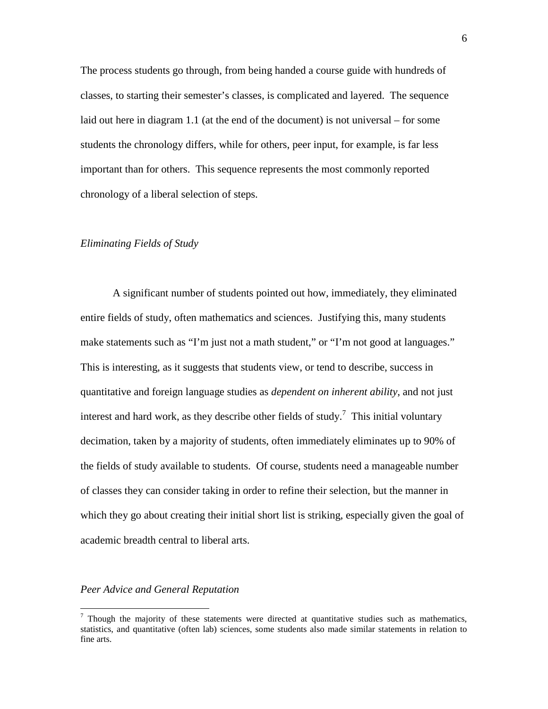The process students go through, from being handed a course guide with hundreds of classes, to starting their semester's classes, is complicated and layered. The sequence laid out here in diagram 1.1 (at the end of the document) is not universal – for some students the chronology differs, while for others, peer input, for example, is far less important than for others. This sequence represents the most commonly reported chronology of a liberal selection of steps.

#### *Eliminating Fields of Study*

A significant number of students pointed out how, immediately, they eliminated entire fields of study, often mathematics and sciences. Justifying this, many students make statements such as "I'm just not a math student," or "I'm not good at languages." This is interesting, as it suggests that students view, or tend to describe, success in quantitative and foreign language studies as *dependent on inherent ability*, and not just interest and hard work, as they describe other fields of study.<sup>7</sup> This initial voluntary decimation, taken by a majority of students, often immediately eliminates up to 90% of the fields of study available to students. Of course, students need a manageable number of classes they can consider taking in order to refine their selection, but the manner in which they go about creating their initial short list is striking, especially given the goal of academic breadth central to liberal arts.

#### *Peer Advice and General Reputation*

<sup>&</sup>lt;sup>7</sup> Though the majority of these statements were directed at quantitative studies such as mathematics, statistics, and quantitative (often lab) sciences, some students also made similar statements in relation to fine arts.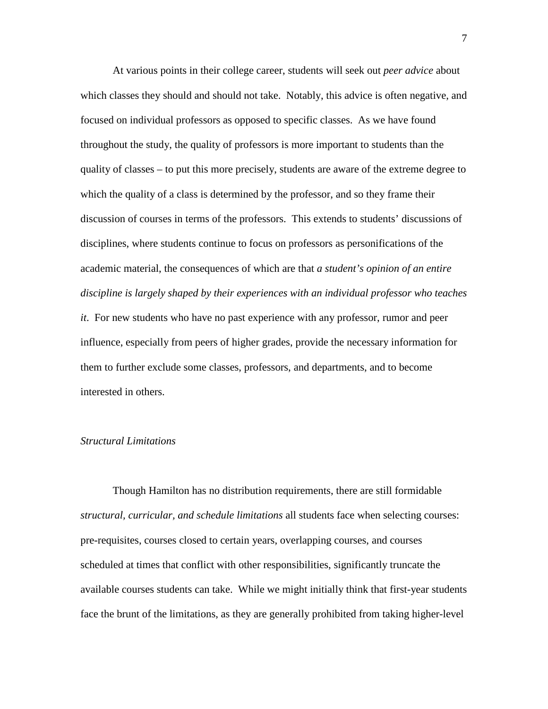At various points in their college career, students will seek out *peer advice* about which classes they should and should not take. Notably, this advice is often negative, and focused on individual professors as opposed to specific classes. As we have found throughout the study, the quality of professors is more important to students than the quality of classes – to put this more precisely, students are aware of the extreme degree to which the quality of a class is determined by the professor, and so they frame their discussion of courses in terms of the professors. This extends to students' discussions of disciplines, where students continue to focus on professors as personifications of the academic material, the consequences of which are that *a student's opinion of an entire discipline is largely shaped by their experiences with an individual professor who teaches it*. For new students who have no past experience with any professor, rumor and peer influence, especially from peers of higher grades, provide the necessary information for them to further exclude some classes, professors, and departments, and to become interested in others.

## *Structural Limitations*

Though Hamilton has no distribution requirements, there are still formidable *structural, curricular, and schedule limitations* all students face when selecting courses: pre-requisites, courses closed to certain years, overlapping courses, and courses scheduled at times that conflict with other responsibilities, significantly truncate the available courses students can take. While we might initially think that first-year students face the brunt of the limitations, as they are generally prohibited from taking higher-level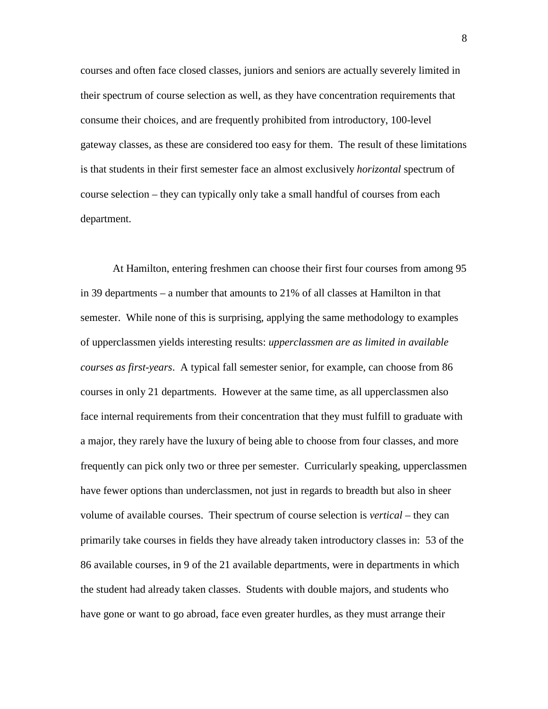courses and often face closed classes, juniors and seniors are actually severely limited in their spectrum of course selection as well, as they have concentration requirements that consume their choices, and are frequently prohibited from introductory, 100-level gateway classes, as these are considered too easy for them. The result of these limitations is that students in their first semester face an almost exclusively *horizontal* spectrum of course selection – they can typically only take a small handful of courses from each department.

At Hamilton, entering freshmen can choose their first four courses from among 95 in 39 departments – a number that amounts to 21% of all classes at Hamilton in that semester. While none of this is surprising, applying the same methodology to examples of upperclassmen yields interesting results: *upperclassmen are as limited in available courses as first-years*. A typical fall semester senior, for example, can choose from 86 courses in only 21 departments. However at the same time, as all upperclassmen also face internal requirements from their concentration that they must fulfill to graduate with a major, they rarely have the luxury of being able to choose from four classes, and more frequently can pick only two or three per semester. Curricularly speaking, upperclassmen have fewer options than underclassmen, not just in regards to breadth but also in sheer volume of available courses. Their spectrum of course selection is *vertical* – they can primarily take courses in fields they have already taken introductory classes in: 53 of the 86 available courses, in 9 of the 21 available departments, were in departments in which the student had already taken classes. Students with double majors, and students who have gone or want to go abroad, face even greater hurdles, as they must arrange their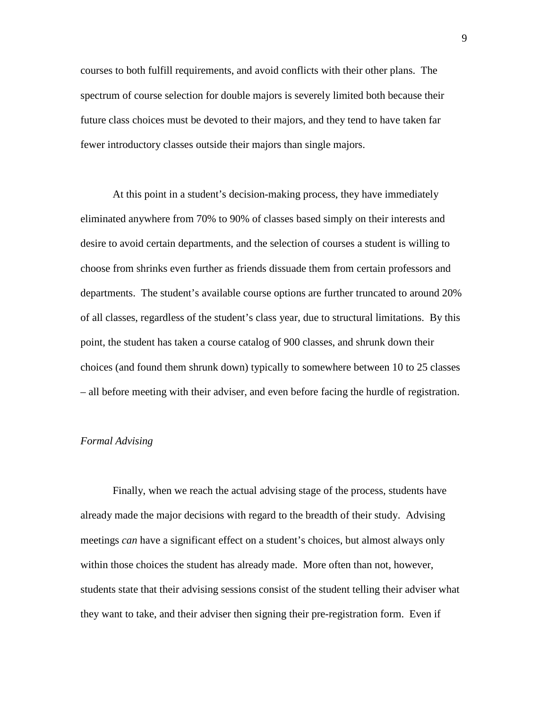courses to both fulfill requirements, and avoid conflicts with their other plans. The spectrum of course selection for double majors is severely limited both because their future class choices must be devoted to their majors, and they tend to have taken far fewer introductory classes outside their majors than single majors.

At this point in a student's decision-making process, they have immediately eliminated anywhere from 70% to 90% of classes based simply on their interests and desire to avoid certain departments, and the selection of courses a student is willing to choose from shrinks even further as friends dissuade them from certain professors and departments. The student's available course options are further truncated to around 20% of all classes, regardless of the student's class year, due to structural limitations. By this point, the student has taken a course catalog of 900 classes, and shrunk down their choices (and found them shrunk down) typically to somewhere between 10 to 25 classes – all before meeting with their adviser, and even before facing the hurdle of registration.

#### *Formal Advising*

Finally, when we reach the actual advising stage of the process, students have already made the major decisions with regard to the breadth of their study. Advising meetings *can* have a significant effect on a student's choices, but almost always only within those choices the student has already made. More often than not, however, students state that their advising sessions consist of the student telling their adviser what they want to take, and their adviser then signing their pre-registration form. Even if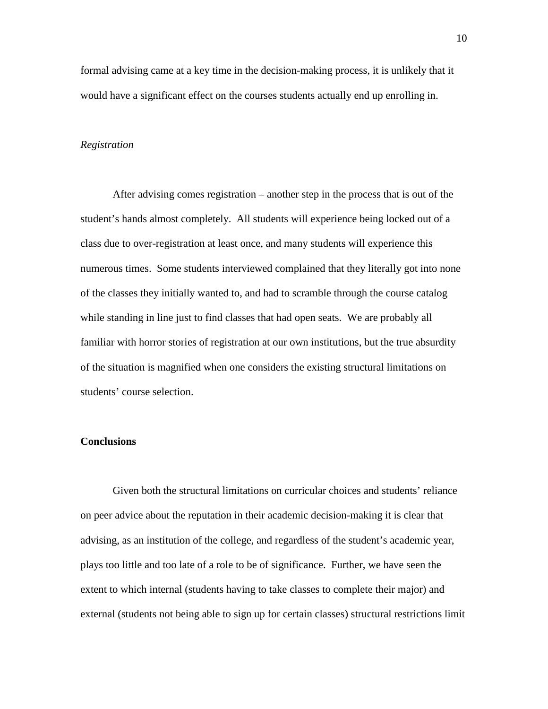formal advising came at a key time in the decision-making process, it is unlikely that it would have a significant effect on the courses students actually end up enrolling in.

#### *Registration*

After advising comes registration – another step in the process that is out of the student's hands almost completely. All students will experience being locked out of a class due to over-registration at least once, and many students will experience this numerous times. Some students interviewed complained that they literally got into none of the classes they initially wanted to, and had to scramble through the course catalog while standing in line just to find classes that had open seats. We are probably all familiar with horror stories of registration at our own institutions, but the true absurdity of the situation is magnified when one considers the existing structural limitations on students' course selection.

#### **Conclusions**

Given both the structural limitations on curricular choices and students' reliance on peer advice about the reputation in their academic decision-making it is clear that advising, as an institution of the college, and regardless of the student's academic year, plays too little and too late of a role to be of significance. Further, we have seen the extent to which internal (students having to take classes to complete their major) and external (students not being able to sign up for certain classes) structural restrictions limit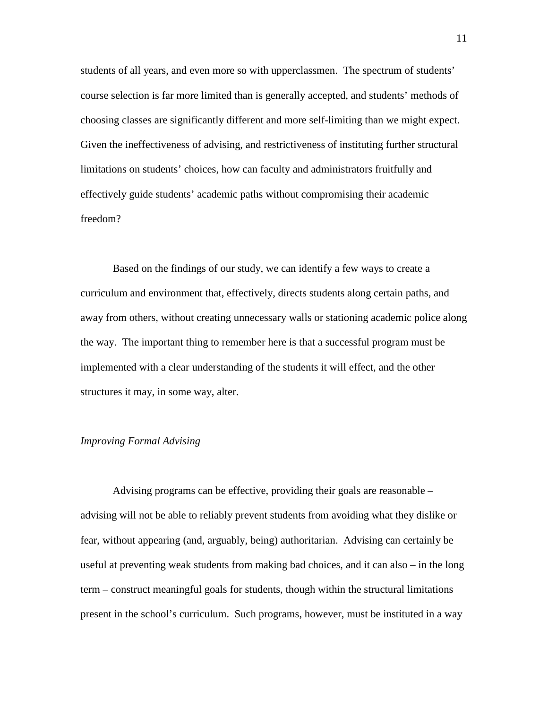students of all years, and even more so with upperclassmen. The spectrum of students' course selection is far more limited than is generally accepted, and students' methods of choosing classes are significantly different and more self-limiting than we might expect. Given the ineffectiveness of advising, and restrictiveness of instituting further structural limitations on students' choices, how can faculty and administrators fruitfully and effectively guide students' academic paths without compromising their academic freedom?

Based on the findings of our study, we can identify a few ways to create a curriculum and environment that, effectively, directs students along certain paths, and away from others, without creating unnecessary walls or stationing academic police along the way. The important thing to remember here is that a successful program must be implemented with a clear understanding of the students it will effect, and the other structures it may, in some way, alter.

## *Improving Formal Advising*

Advising programs can be effective, providing their goals are reasonable – advising will not be able to reliably prevent students from avoiding what they dislike or fear, without appearing (and, arguably, being) authoritarian. Advising can certainly be useful at preventing weak students from making bad choices, and it can also – in the long term – construct meaningful goals for students, though within the structural limitations present in the school's curriculum. Such programs, however, must be instituted in a way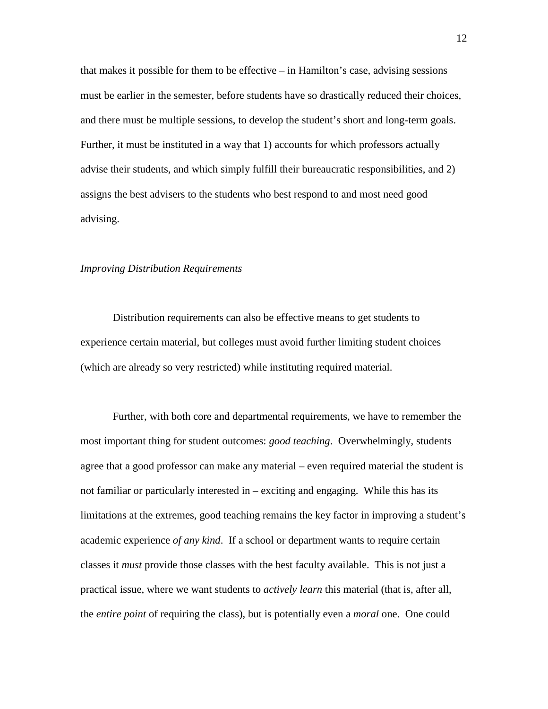that makes it possible for them to be effective – in Hamilton's case, advising sessions must be earlier in the semester, before students have so drastically reduced their choices, and there must be multiple sessions, to develop the student's short and long-term goals. Further, it must be instituted in a way that 1) accounts for which professors actually advise their students, and which simply fulfill their bureaucratic responsibilities, and 2) assigns the best advisers to the students who best respond to and most need good advising.

#### *Improving Distribution Requirements*

Distribution requirements can also be effective means to get students to experience certain material, but colleges must avoid further limiting student choices (which are already so very restricted) while instituting required material.

Further, with both core and departmental requirements, we have to remember the most important thing for student outcomes: *good teaching*. Overwhelmingly, students agree that a good professor can make any material – even required material the student is not familiar or particularly interested in – exciting and engaging. While this has its limitations at the extremes, good teaching remains the key factor in improving a student's academic experience *of any kind*. If a school or department wants to require certain classes it *must* provide those classes with the best faculty available. This is not just a practical issue, where we want students to *actively learn* this material (that is, after all, the *entire point* of requiring the class), but is potentially even a *moral* one. One could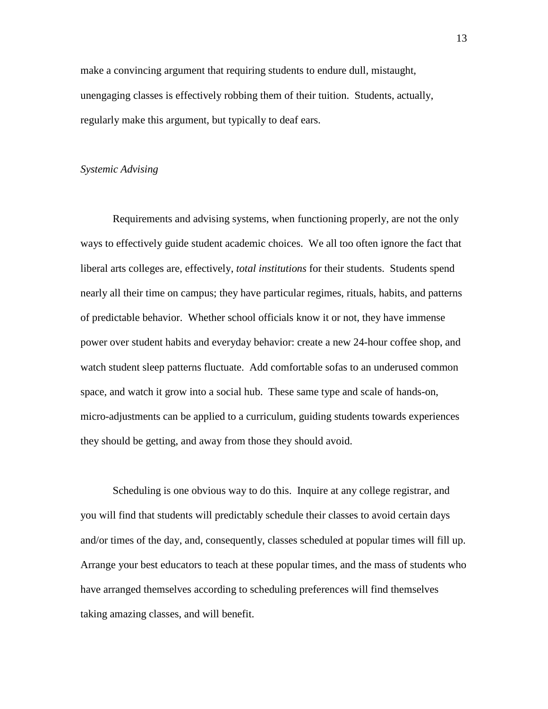make a convincing argument that requiring students to endure dull, mistaught, unengaging classes is effectively robbing them of their tuition. Students, actually, regularly make this argument, but typically to deaf ears.

#### *Systemic Advising*

Requirements and advising systems, when functioning properly, are not the only ways to effectively guide student academic choices. We all too often ignore the fact that liberal arts colleges are, effectively, *total institutions* for their students. Students spend nearly all their time on campus; they have particular regimes, rituals, habits, and patterns of predictable behavior. Whether school officials know it or not, they have immense power over student habits and everyday behavior: create a new 24-hour coffee shop, and watch student sleep patterns fluctuate. Add comfortable sofas to an underused common space, and watch it grow into a social hub. These same type and scale of hands-on, micro-adjustments can be applied to a curriculum, guiding students towards experiences they should be getting, and away from those they should avoid.

Scheduling is one obvious way to do this. Inquire at any college registrar, and you will find that students will predictably schedule their classes to avoid certain days and/or times of the day, and, consequently, classes scheduled at popular times will fill up. Arrange your best educators to teach at these popular times, and the mass of students who have arranged themselves according to scheduling preferences will find themselves taking amazing classes, and will benefit.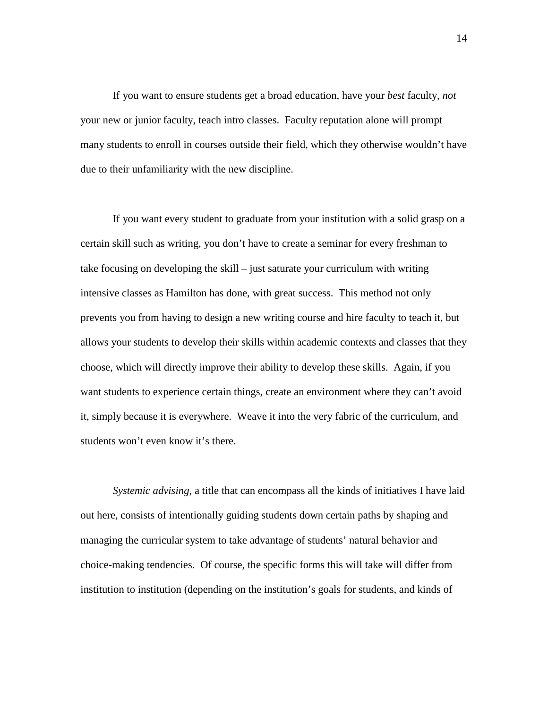If you want to ensure students get a broad education, have your *best* faculty, *not* your new or junior faculty, teach intro classes. Faculty reputation alone will prompt many students to enroll in courses outside their field, which they otherwise wouldn't have due to their unfamiliarity with the new discipline.

If you want every student to graduate from your institution with a solid grasp on a certain skill such as writing, you don't have to create a seminar for every freshman to take focusing on developing the skill – just saturate your curriculum with writing intensive classes as Hamilton has done, with great success. This method not only prevents you from having to design a new writing course and hire faculty to teach it, but allows your students to develop their skills within academic contexts and classes that they choose, which will directly improve their ability to develop these skills. Again, if you want students to experience certain things, create an environment where they can't avoid it, simply because it is everywhere. Weave it into the very fabric of the curriculum, and students won't even know it's there.

*Systemic advising*, a title that can encompass all the kinds of initiatives I have laid out here, consists of intentionally guiding students down certain paths by shaping and managing the curricular system to take advantage of students' natural behavior and choice-making tendencies. Of course, the specific forms this will take will differ from institution to institution (depending on the institution's goals for students, and kinds of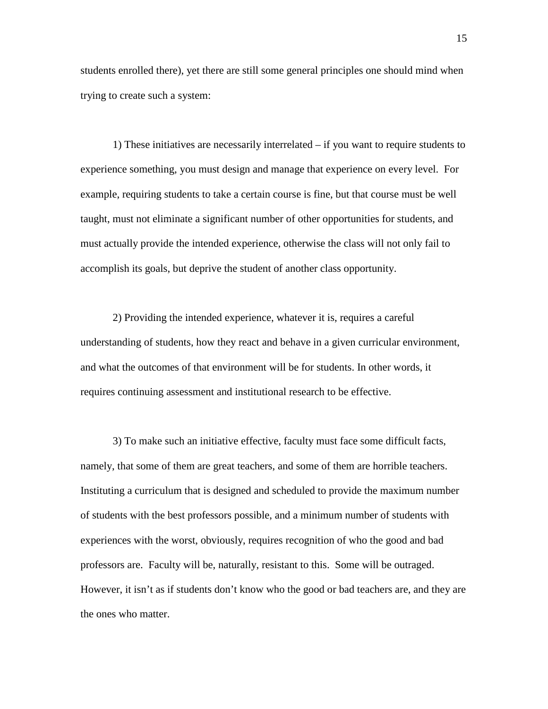students enrolled there), yet there are still some general principles one should mind when trying to create such a system:

1) These initiatives are necessarily interrelated – if you want to require students to experience something, you must design and manage that experience on every level. For example, requiring students to take a certain course is fine, but that course must be well taught, must not eliminate a significant number of other opportunities for students, and must actually provide the intended experience, otherwise the class will not only fail to accomplish its goals, but deprive the student of another class opportunity.

2) Providing the intended experience, whatever it is, requires a careful understanding of students, how they react and behave in a given curricular environment, and what the outcomes of that environment will be for students. In other words, it requires continuing assessment and institutional research to be effective.

3) To make such an initiative effective, faculty must face some difficult facts, namely, that some of them are great teachers, and some of them are horrible teachers. Instituting a curriculum that is designed and scheduled to provide the maximum number of students with the best professors possible, and a minimum number of students with experiences with the worst, obviously, requires recognition of who the good and bad professors are. Faculty will be, naturally, resistant to this. Some will be outraged. However, it isn't as if students don't know who the good or bad teachers are, and they are the ones who matter.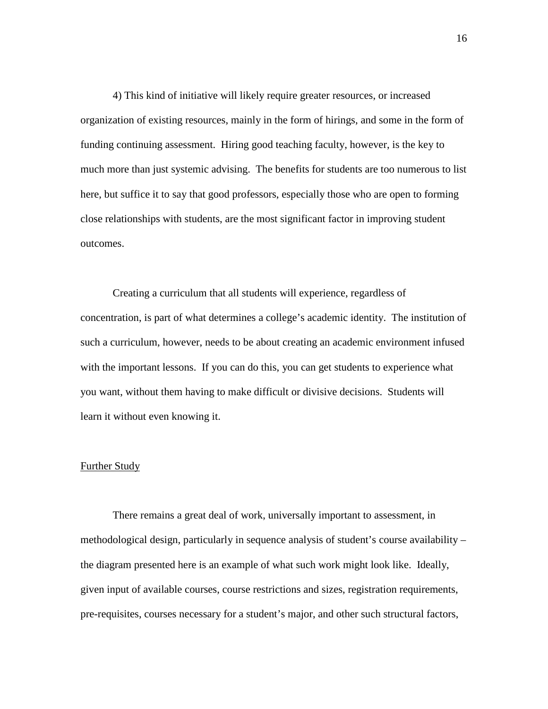4) This kind of initiative will likely require greater resources, or increased organization of existing resources, mainly in the form of hirings, and some in the form of funding continuing assessment. Hiring good teaching faculty, however, is the key to much more than just systemic advising. The benefits for students are too numerous to list here, but suffice it to say that good professors, especially those who are open to forming close relationships with students, are the most significant factor in improving student outcomes.

Creating a curriculum that all students will experience, regardless of concentration, is part of what determines a college's academic identity. The institution of such a curriculum, however, needs to be about creating an academic environment infused with the important lessons. If you can do this, you can get students to experience what you want, without them having to make difficult or divisive decisions. Students will learn it without even knowing it.

#### Further Study

 There remains a great deal of work, universally important to assessment, in methodological design, particularly in sequence analysis of student's course availability – the diagram presented here is an example of what such work might look like. Ideally, given input of available courses, course restrictions and sizes, registration requirements, pre-requisites, courses necessary for a student's major, and other such structural factors,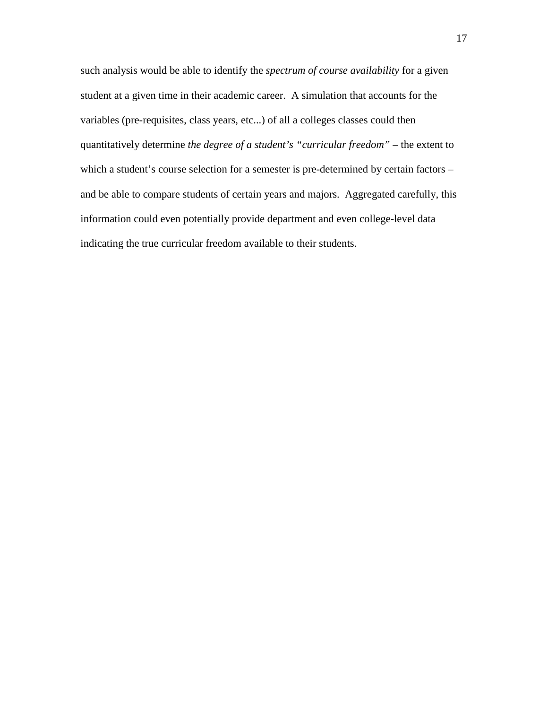such analysis would be able to identify the *spectrum of course availability* for a given student at a given time in their academic career. A simulation that accounts for the variables (pre-requisites, class years, etc...) of all a colleges classes could then quantitatively determine *the degree of a student's "curricular freedom" –* the extent to which a student's course selection for a semester is pre-determined by certain factors – and be able to compare students of certain years and majors. Aggregated carefully, this information could even potentially provide department and even college-level data indicating the true curricular freedom available to their students.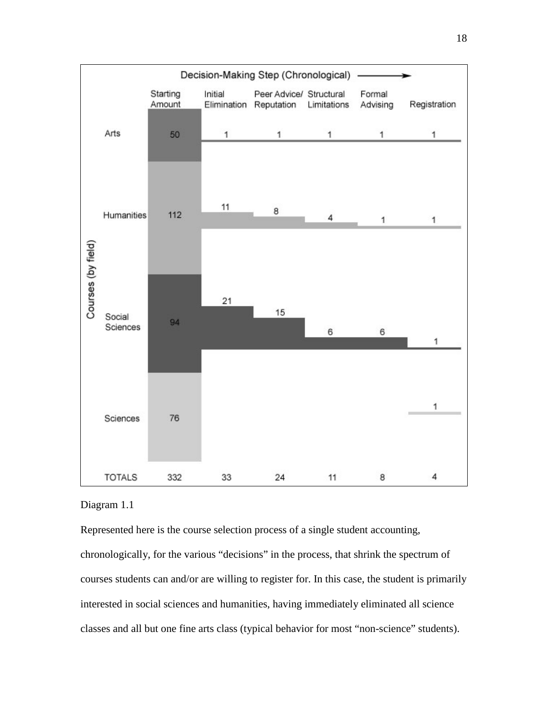

# Diagram 1.1

Represented here is the course selection process of a single student accounting, chronologically, for the various "decisions" in the process, that shrink the spectrum of courses students can and/or are willing to register for. In this case, the student is primarily interested in social sciences and humanities, having immediately eliminated all science classes and all but one fine arts class (typical behavior for most "non-science" students).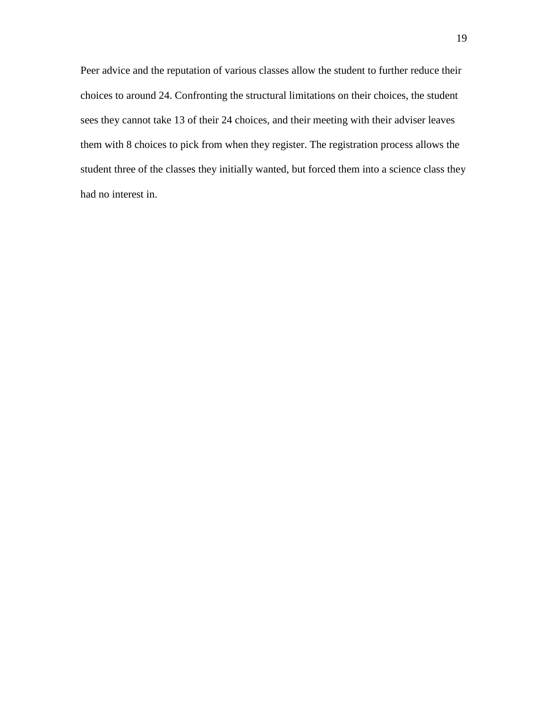Peer advice and the reputation of various classes allow the student to further reduce their choices to around 24. Confronting the structural limitations on their choices, the student sees they cannot take 13 of their 24 choices, and their meeting with their adviser leaves them with 8 choices to pick from when they register. The registration process allows the student three of the classes they initially wanted, but forced them into a science class they had no interest in.